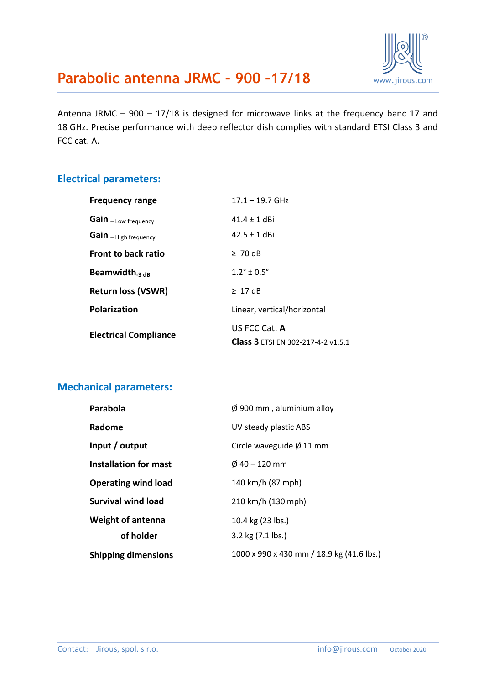

Antenna JRMC – 900 – 17/18 is designed for microwave links at the frequency band 17 and 18 GHz. Precise performance with deep reflector dish complies with standard ETSI Class 3 and FCC cat. A.

#### **Electrical parameters:**

| <b>Frequency range</b>       | $17.1 - 19.7$ GHz                                   |  |
|------------------------------|-----------------------------------------------------|--|
| Gain - Low frequency         | $41.4 + 1$ dBi                                      |  |
| Gain - High frequency        | $42.5 + 1$ dBi                                      |  |
| <b>Front to back ratio</b>   | $\geq 70$ dB                                        |  |
| Beamwidth <sub>-3 dB</sub>   | $1.2^{\circ} + 0.5^{\circ}$                         |  |
| <b>Return loss (VSWR)</b>    | $\geq 17$ dB                                        |  |
| Polarization                 | Linear, vertical/horizontal                         |  |
| <b>Electrical Compliance</b> | US FCC Cat. A<br>Class 3 ETSI EN 302-217-4-2 v1.5.1 |  |

#### **Mechanical parameters:**

| Parabola                     | $\varnothing$ 900 mm, aluminium alloy     |  |
|------------------------------|-------------------------------------------|--|
| Radome                       | UV steady plastic ABS                     |  |
| Input / output               | Circle waveguide $\varnothing$ 11 mm      |  |
| <b>Installation for mast</b> | $\emptyset$ 40 – 120 mm                   |  |
| <b>Operating wind load</b>   | 140 km/h (87 mph)                         |  |
| <b>Survival wind load</b>    | 210 km/h (130 mph)                        |  |
| <b>Weight of antenna</b>     | 10.4 kg (23 lbs.)                         |  |
| of holder                    | 3.2 kg (7.1 lbs.)                         |  |
| <b>Shipping dimensions</b>   | 1000 x 990 x 430 mm / 18.9 kg (41.6 lbs.) |  |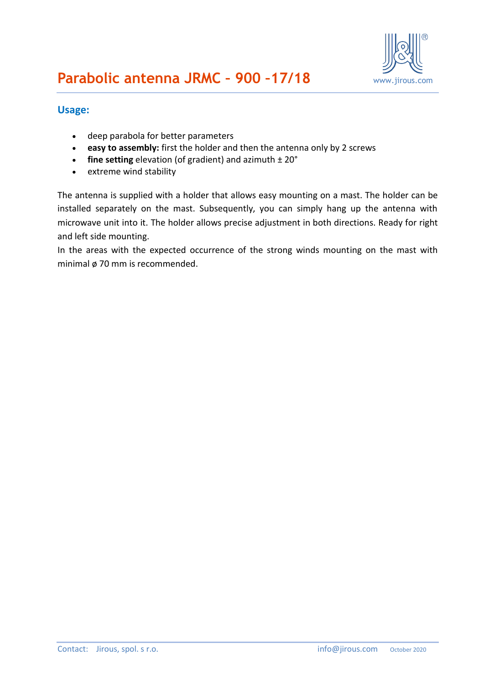

#### **Usage:**

- deep parabola for better parameters
- **easy to assembly:** first the holder and then the antenna only by 2 screws
- **fine setting** elevation (of gradient) and azimuth  $\pm 20^{\circ}$
- extreme wind stability

The antenna is supplied with a holder that allows easy mounting on a mast. The holder can be installed separately on the mast. Subsequently, you can simply hang up the antenna with microwave unit into it. The holder allows precise adjustment in both directions. Ready for right and left side mounting.

In the areas with the expected occurrence of the strong winds mounting on the mast with minimal ø 70 mm is recommended.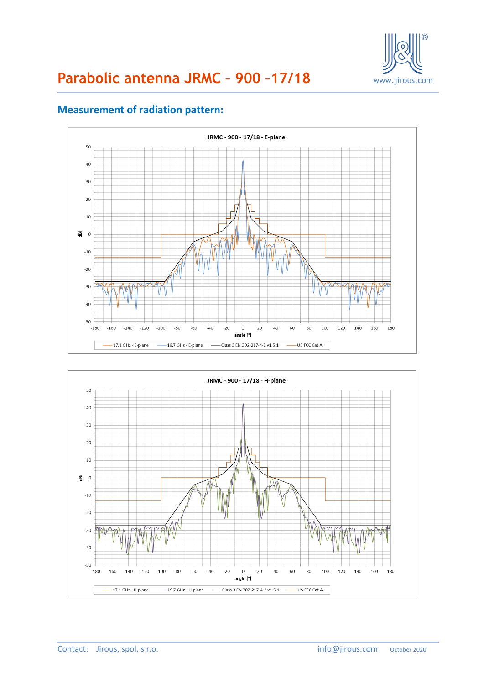

# **Parabolic antenna JRMC – 900 –17/18** [www.jirous.com](http://www.jirous.com/)



#### **Measurement of radiation pattern:**

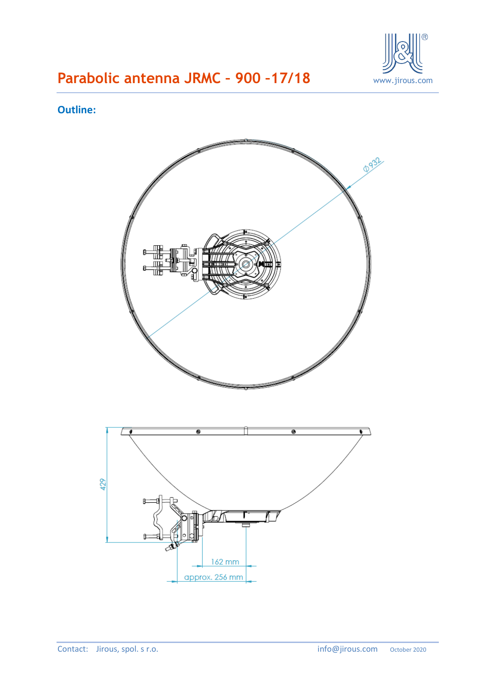

# **Parabolic antenna JRMC – 900 –17/18** [www.jirous.com](http://www.jirous.com/)

### **Outline:**